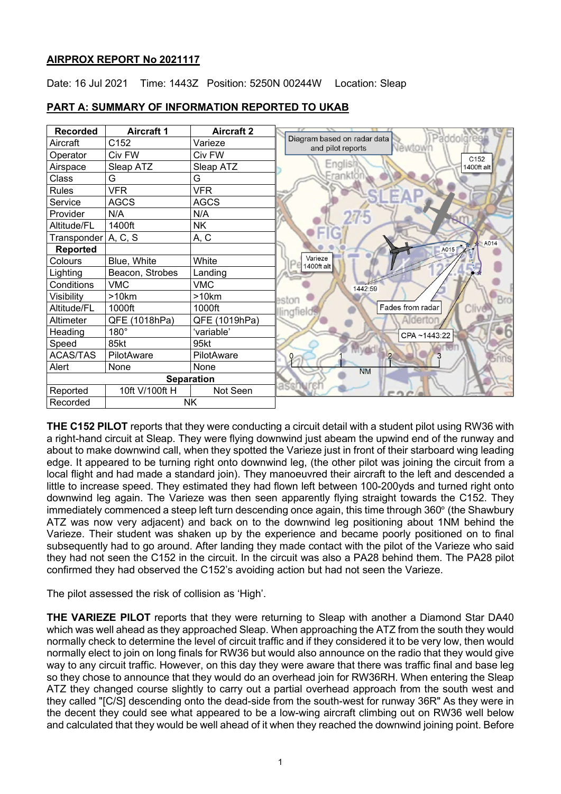## **AIRPROX REPORT No 2021117**

Date: 16 Jul 2021 Time: 1443Z Position: 5250N 00244W Location: Sleap

| <b>Recorded</b>       | <b>Aircraft 1</b> | <b>Aircraft 2</b> |                                                                         |
|-----------------------|-------------------|-------------------|-------------------------------------------------------------------------|
| Aircraft              | C152              | Varieze           | Paddolgi<br>Diagram based on radar data<br>Newtown<br>and pilot reports |
| Operator              | Civ FW            | Civ FW            | C152                                                                    |
| Airspace              | Sleap ATZ         | Sleap ATZ         | Englis<br>1400ft alt                                                    |
| Class                 | G                 | G                 | Erankt                                                                  |
| Rules                 | <b>VFR</b>        | <b>VFR</b>        |                                                                         |
| Service               | <b>AGCS</b>       | <b>AGCS</b>       |                                                                         |
| Provider              | N/A               | N/A               |                                                                         |
| Altitude/FL           | 1400ft            | NK                |                                                                         |
| Transponder           | A, C, S           | A, C              | A014                                                                    |
| <b>Reported</b>       |                   |                   | A015                                                                    |
| Colours               | Blue, White       | White             | Varieze<br>1400ft alt                                                   |
| Lighting              | Beacon, Strobes   | Landing           |                                                                         |
| Conditions            | <b>VMC</b>        | <b>VMC</b>        | 1442:59                                                                 |
| Visibility            | >10km             | >10km             | sto                                                                     |
| Altitude/FL           | 1000ft            | 1000ft            | Fades from radar<br>Cliv<br>lingfield                                   |
| Altimeter             | QFE (1018hPa)     | QFE (1019hPa)     |                                                                         |
| Heading               | $180^\circ$       | 'variable'        | CPA~1443:22                                                             |
| Speed                 | 85kt              | 95kt              |                                                                         |
| <b>ACAS/TAS</b>       | PilotAware        | PilotAware        | $\Omega$                                                                |
| Alert                 | None              | None              | <b>NM</b>                                                               |
| <b>Separation</b>     |                   |                   |                                                                         |
| Reported              | 10ft V/100ft H    | Not Seen          |                                                                         |
| <b>NK</b><br>Recorded |                   |                   |                                                                         |

# **PART A: SUMMARY OF INFORMATION REPORTED TO UKAB**

**THE C152 PILOT** reports that they were conducting a circuit detail with a student pilot using RW36 with a right-hand circuit at Sleap. They were flying downwind just abeam the upwind end of the runway and about to make downwind call, when they spotted the Varieze just in front of their starboard wing leading edge. It appeared to be turning right onto downwind leg, (the other pilot was joining the circuit from a local flight and had made a standard join). They manoeuvred their aircraft to the left and descended a little to increase speed. They estimated they had flown left between 100-200yds and turned right onto downwind leg again. The Varieze was then seen apparently flying straight towards the C152. They immediately commenced a steep left turn descending once again, this time through 360° (the Shawbury ATZ was now very adjacent) and back on to the downwind leg positioning about 1NM behind the Varieze. Their student was shaken up by the experience and became poorly positioned on to final subsequently had to go around. After landing they made contact with the pilot of the Varieze who said they had not seen the C152 in the circuit. In the circuit was also a PA28 behind them. The PA28 pilot confirmed they had observed the C152's avoiding action but had not seen the Varieze.

The pilot assessed the risk of collision as 'High'.

**THE VARIEZE PILOT** reports that they were returning to Sleap with another a Diamond Star DA40 which was well ahead as they approached Sleap. When approaching the ATZ from the south they would normally check to determine the level of circuit traffic and if they considered it to be very low, then would normally elect to join on long finals for RW36 but would also announce on the radio that they would give way to any circuit traffic. However, on this day they were aware that there was traffic final and base leg so they chose to announce that they would do an overhead join for RW36RH. When entering the Sleap ATZ they changed course slightly to carry out a partial overhead approach from the south west and they called "[C/S] descending onto the dead-side from the south-west for runway 36R" As they were in the decent they could see what appeared to be a low-wing aircraft climbing out on RW36 well below and calculated that they would be well ahead of it when they reached the downwind joining point. Before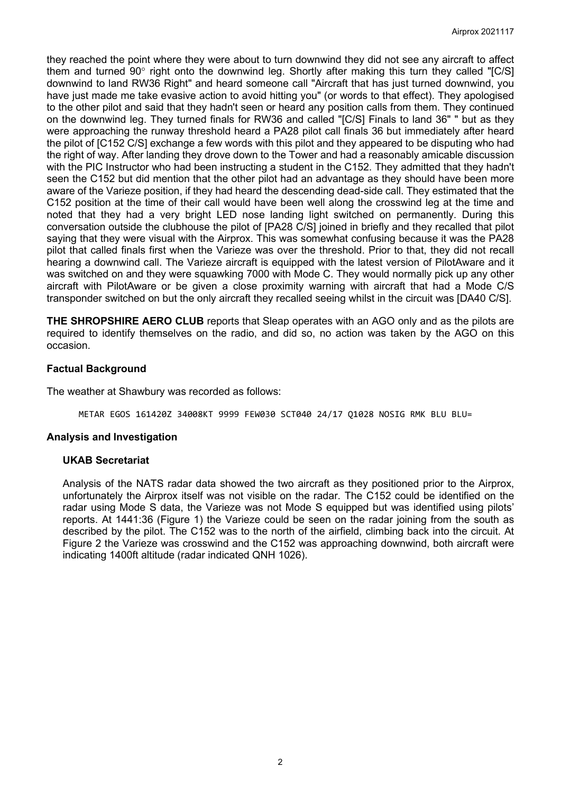they reached the point where they were about to turn downwind they did not see any aircraft to affect them and turned 90° right onto the downwind leg. Shortly after making this turn they called "[C/S] downwind to land RW36 Right" and heard someone call "Aircraft that has just turned downwind, you have iust made me take evasive action to avoid hitting you" (or words to that effect). They apologised to the other pilot and said that they hadn't seen or heard any position calls from them. They continued on the downwind leg. They turned finals for RW36 and called "[C/S] Finals to land 36" " but as they were approaching the runway threshold heard a PA28 pilot call finals 36 but immediately after heard the pilot of [C152 C/S] exchange a few words with this pilot and they appeared to be disputing who had the right of way. After landing they drove down to the Tower and had a reasonably amicable discussion with the PIC Instructor who had been instructing a student in the C152. They admitted that they hadn't seen the C152 but did mention that the other pilot had an advantage as they should have been more aware of the Varieze position, if they had heard the descending dead-side call. They estimated that the C152 position at the time of their call would have been well along the crosswind leg at the time and noted that they had a very bright LED nose landing light switched on permanently. During this conversation outside the clubhouse the pilot of [PA28 C/S] joined in briefly and they recalled that pilot saying that they were visual with the Airprox. This was somewhat confusing because it was the PA28 pilot that called finals first when the Varieze was over the threshold. Prior to that, they did not recall hearing a downwind call. The Varieze aircraft is equipped with the latest version of PilotAware and it was switched on and they were squawking 7000 with Mode C. They would normally pick up any other aircraft with PilotAware or be given a close proximity warning with aircraft that had a Mode C/S transponder switched on but the only aircraft they recalled seeing whilst in the circuit was [DA40 C/S].

**THE SHROPSHIRE AERO CLUB** reports that Sleap operates with an AGO only and as the pilots are required to identify themselves on the radio, and did so, no action was taken by the AGO on this occasion.

## **Factual Background**

The weather at Shawbury was recorded as follows:

METAR EGOS 161420Z 34008KT 9999 FEW030 SCT040 24/17 Q1028 NOSIG RMK BLU BLU=

#### **Analysis and Investigation**

#### **UKAB Secretariat**

Analysis of the NATS radar data showed the two aircraft as they positioned prior to the Airprox, unfortunately the Airprox itself was not visible on the radar. The C152 could be identified on the radar using Mode S data, the Varieze was not Mode S equipped but was identified using pilots' reports. At 1441:36 (Figure 1) the Varieze could be seen on the radar joining from the south as described by the pilot. The C152 was to the north of the airfield, climbing back into the circuit. At Figure 2 the Varieze was crosswind and the C152 was approaching downwind, both aircraft were indicating 1400ft altitude (radar indicated QNH 1026).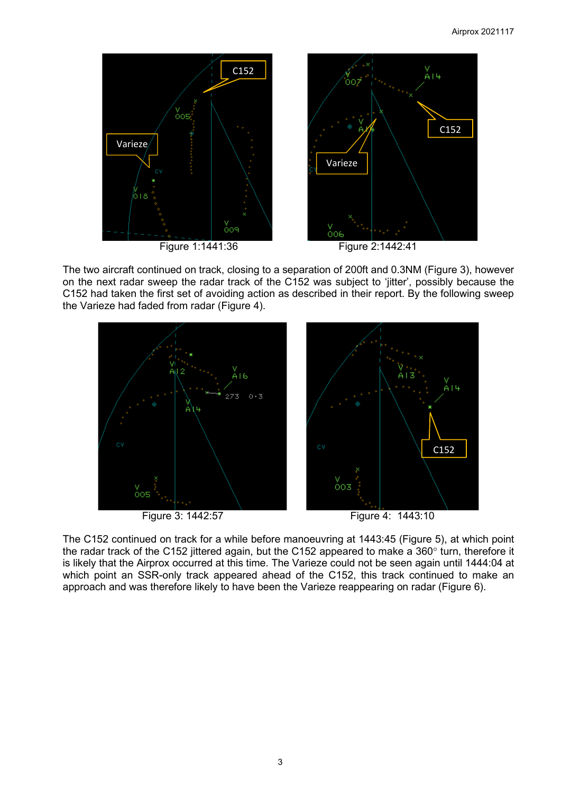

The two aircraft continued on track, closing to a separation of 200ft and 0.3NM (Figure 3), however on the next radar sweep the radar track of the C152 was subject to 'jitter', possibly because the C152 had taken the first set of avoiding action as described in their report. By the following sweep the Varieze had faded from radar (Figure 4).



Figure 3: 1442:57 Figure 4: 1443:10

The C152 continued on track for a while before manoeuvring at 1443:45 (Figure 5), at which point the radar track of the C152 jittered again, but the C152 appeared to make a 360° turn, therefore it is likely that the Airprox occurred at this time. The Varieze could not be seen again until 1444:04 at which point an SSR-only track appeared ahead of the C152, this track continued to make an approach and was therefore likely to have been the Varieze reappearing on radar (Figure 6).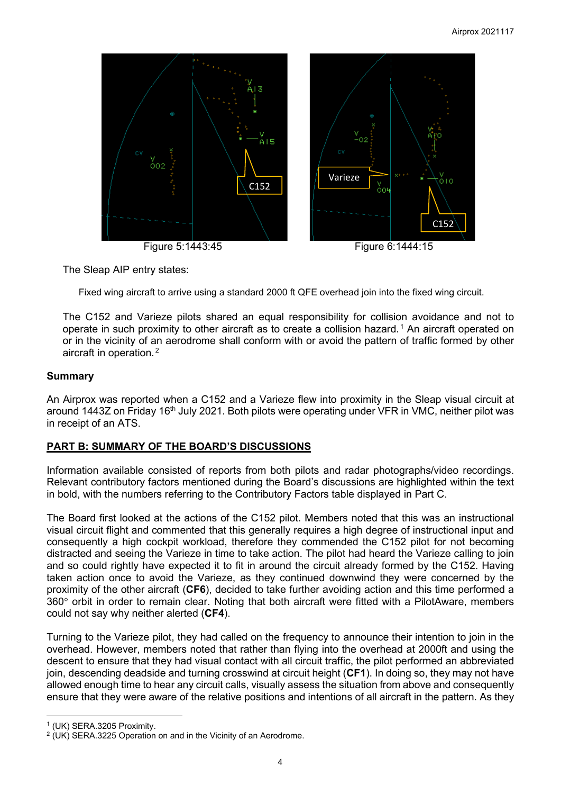

The Sleap AIP entry states:

Fixed wing aircraft to arrive using a standard 2000 ft QFE overhead join into the fixed wing circuit.

The C152 and Varieze pilots shared an equal responsibility for collision avoidance and not to operate in such proximity to other aircraft as to create a collision hazard.<sup>[1](#page-3-0)</sup> An aircraft operated on or in the vicinity of an aerodrome shall conform with or avoid the pattern of traffic formed by other aircraft in operation. [2](#page-3-1)

#### **Summary**

An Airprox was reported when a C152 and a Varieze flew into proximity in the Sleap visual circuit at around 1443Z on Friday 16<sup>th</sup> July 2021. Both pilots were operating under VFR in VMC, neither pilot was in receipt of an ATS.

## **PART B: SUMMARY OF THE BOARD'S DISCUSSIONS**

Information available consisted of reports from both pilots and radar photographs/video recordings. Relevant contributory factors mentioned during the Board's discussions are highlighted within the text in bold, with the numbers referring to the Contributory Factors table displayed in Part C.

The Board first looked at the actions of the C152 pilot. Members noted that this was an instructional visual circuit flight and commented that this generally requires a high degree of instructional input and consequently a high cockpit workload, therefore they commended the C152 pilot for not becoming distracted and seeing the Varieze in time to take action. The pilot had heard the Varieze calling to join and so could rightly have expected it to fit in around the circuit already formed by the C152. Having taken action once to avoid the Varieze, as they continued downwind they were concerned by the proximity of the other aircraft (**CF6**), decided to take further avoiding action and this time performed a 360° orbit in order to remain clear. Noting that both aircraft were fitted with a PilotAware, members could not say why neither alerted (**CF4**).

Turning to the Varieze pilot, they had called on the frequency to announce their intention to join in the overhead. However, members noted that rather than flying into the overhead at 2000ft and using the descent to ensure that they had visual contact with all circuit traffic, the pilot performed an abbreviated join, descending deadside and turning crosswind at circuit height (**CF1**). In doing so, they may not have allowed enough time to hear any circuit calls, visually assess the situation from above and consequently ensure that they were aware of the relative positions and intentions of all aircraft in the pattern. As they

<span id="page-3-1"></span>

<span id="page-3-0"></span><sup>&</sup>lt;sup>1</sup> (UK) SERA.3205 Proximity.<br><sup>2</sup> (UK) SERA.3225 Operation on and in the Vicinity of an Aerodrome.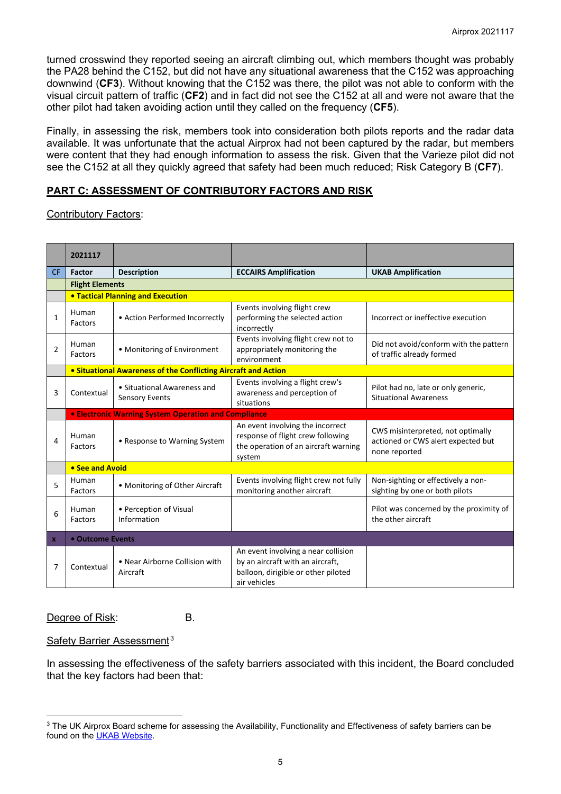turned crosswind they reported seeing an aircraft climbing out, which members thought was probably the PA28 behind the C152, but did not have any situational awareness that the C152 was approaching downwind (**CF3**). Without knowing that the C152 was there, the pilot was not able to conform with the visual circuit pattern of traffic (**CF2**) and in fact did not see the C152 at all and were not aware that the other pilot had taken avoiding action until they called on the frequency (**CF5**).

Finally, in assessing the risk, members took into consideration both pilots reports and the radar data available. It was unfortunate that the actual Airprox had not been captured by the radar, but members were content that they had enough information to assess the risk. Given that the Varieze pilot did not see the C152 at all they quickly agreed that safety had been much reduced; Risk Category B (**CF7**).

# **PART C: ASSESSMENT OF CONTRIBUTORY FACTORS AND RISK**

## Contributory Factors:

|                | 2021117                                          |                                                                |                                                                                                                                |                                                                                          |  |  |  |  |  |  |  |
|----------------|--------------------------------------------------|----------------------------------------------------------------|--------------------------------------------------------------------------------------------------------------------------------|------------------------------------------------------------------------------------------|--|--|--|--|--|--|--|
| <b>CF</b>      | <b>Factor</b>                                    | <b>Description</b>                                             | <b>ECCAIRS Amplification</b>                                                                                                   | <b>UKAB Amplification</b>                                                                |  |  |  |  |  |  |  |
|                | <b>Flight Elements</b>                           |                                                                |                                                                                                                                |                                                                                          |  |  |  |  |  |  |  |
|                |                                                  | <b>• Tactical Planning and Execution</b>                       |                                                                                                                                |                                                                                          |  |  |  |  |  |  |  |
| 1              | Human<br>Factors                                 | • Action Performed Incorrectly                                 | Events involving flight crew<br>performing the selected action<br>incorrectly                                                  | Incorrect or ineffective execution                                                       |  |  |  |  |  |  |  |
| $\overline{2}$ | Human<br>Factors                                 | • Monitoring of Environment                                    | Events involving flight crew not to<br>appropriately monitoring the<br>environment                                             | Did not avoid/conform with the pattern<br>of traffic already formed                      |  |  |  |  |  |  |  |
|                |                                                  | • Situational Awareness of the Conflicting Aircraft and Action |                                                                                                                                |                                                                                          |  |  |  |  |  |  |  |
| 3              | Contextual                                       | • Situational Awareness and<br><b>Sensory Events</b>           | Events involving a flight crew's<br>awareness and perception of<br>situations                                                  | Pilot had no, late or only generic,<br><b>Situational Awareness</b>                      |  |  |  |  |  |  |  |
|                |                                                  | <b>• Electronic Warning System Operation and Compliance</b>    |                                                                                                                                |                                                                                          |  |  |  |  |  |  |  |
| 4              | Human<br>• Response to Warning System<br>Factors |                                                                | An event involving the incorrect<br>response of flight crew following<br>the operation of an aircraft warning<br>system        | CWS misinterpreted, not optimally<br>actioned or CWS alert expected but<br>none reported |  |  |  |  |  |  |  |
|                | • See and Avoid                                  |                                                                |                                                                                                                                |                                                                                          |  |  |  |  |  |  |  |
| 5              | Human<br>Factors                                 | • Monitoring of Other Aircraft                                 | Events involving flight crew not fully<br>monitoring another aircraft                                                          | Non-sighting or effectively a non-<br>sighting by one or both pilots                     |  |  |  |  |  |  |  |
| 6              | Human<br>Factors                                 | • Perception of Visual<br>Information                          |                                                                                                                                | Pilot was concerned by the proximity of<br>the other aircraft                            |  |  |  |  |  |  |  |
| $\mathbf x$    | • Outcome Events                                 |                                                                |                                                                                                                                |                                                                                          |  |  |  |  |  |  |  |
| 7              | Contextual                                       | • Near Airborne Collision with<br>Aircraft                     | An event involving a near collision<br>by an aircraft with an aircraft,<br>balloon, dirigible or other piloted<br>air vehicles |                                                                                          |  |  |  |  |  |  |  |

## Degree of Risk: B.

## Safety Barrier Assessment<sup>[3](#page-4-0)</sup>

In assessing the effectiveness of the safety barriers associated with this incident, the Board concluded that the key factors had been that:

<span id="page-4-0"></span><sup>&</sup>lt;sup>3</sup> The UK Airprox Board scheme for assessing the Availability, Functionality and Effectiveness of safety barriers can be found on the [UKAB Website.](http://www.airproxboard.org.uk/Learn-more/Airprox-Barrier-Assessment/)